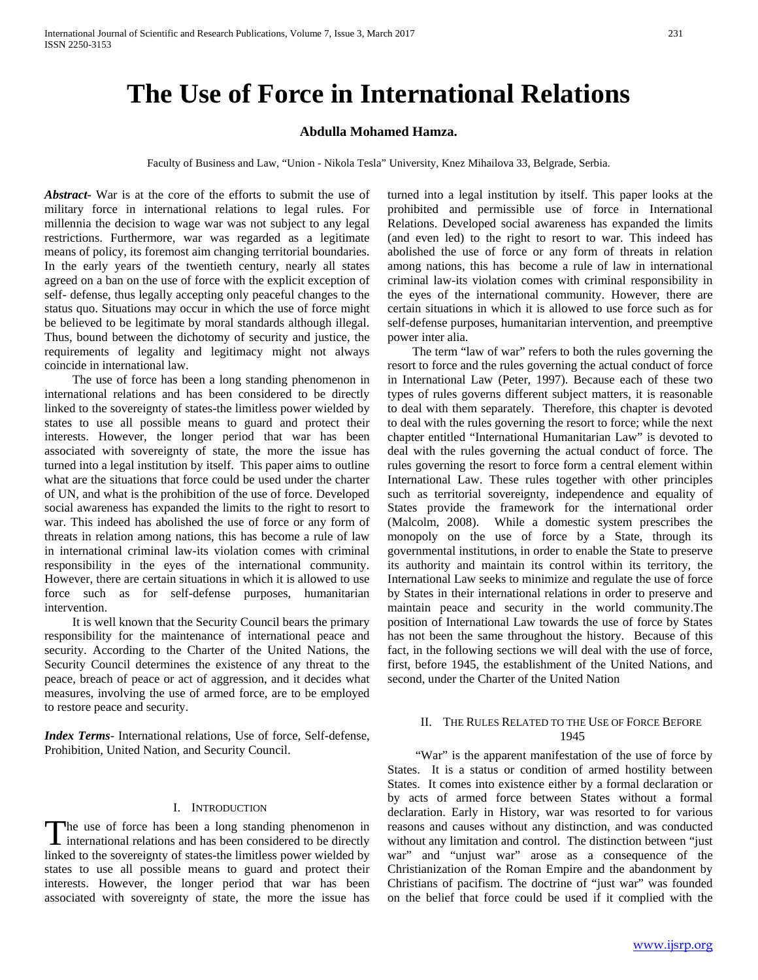# **The Use of Force in International Relations**

# **Abdulla Mohamed Hamza.**

Faculty of Business and Law, "Union - Nikola Tesla" University, Knez Mihailova 33, Belgrade, Serbia.

*Abstract***-** War is at the core of the efforts to submit the use of military force in international relations to legal rules. For millennia the decision to wage war was not subject to any legal restrictions. Furthermore, war was regarded as a legitimate means of policy, its foremost aim changing territorial boundaries. In the early years of the twentieth century, nearly all states agreed on a ban on the use of force with the explicit exception of self- defense, thus legally accepting only peaceful changes to the status quo. Situations may occur in which the use of force might be believed to be legitimate by moral standards although illegal. Thus, bound between the dichotomy of security and justice, the requirements of legality and legitimacy might not always coincide in international law.

 The use of force has been a long standing phenomenon in international relations and has been considered to be directly linked to the sovereignty of states-the limitless power wielded by states to use all possible means to guard and protect their interests. However, the longer period that war has been associated with sovereignty of state, the more the issue has turned into a legal institution by itself. This paper aims to outline what are the situations that force could be used under the charter of UN, and what is the prohibition of the use of force. Developed social awareness has expanded the limits to the right to resort to war. This indeed has abolished the use of force or any form of threats in relation among nations, this has become a rule of law in international criminal law-its violation comes with criminal responsibility in the eyes of the international community. However, there are certain situations in which it is allowed to use force such as for self-defense purposes, humanitarian intervention.

 It is well known that the Security Council bears the primary responsibility for the maintenance of international peace and security. According to the Charter of the United Nations, the Security Council determines the existence of any threat to the peace, breach of peace or act of aggression, and it decides what measures, involving the use of armed force, are to be employed to restore peace and security.

*Index Terms*- International relations, Use of force, Self-defense, Prohibition, United Nation, and Security Council.

#### I. INTRODUCTION

he use of force has been a long standing phenomenon in The use of force has been a long standing phenomenon in international relations and has been considered to be directly linked to the sovereignty of states-the limitless power wielded by states to use all possible means to guard and protect their interests. However, the longer period that war has been associated with sovereignty of state, the more the issue has

turned into a legal institution by itself. This paper looks at the prohibited and permissible use of force in International Relations. Developed social awareness has expanded the limits (and even led) to the right to resort to war. This indeed has abolished the use of force or any form of threats in relation among nations, this has become a rule of law in international criminal law-its violation comes with criminal responsibility in the eyes of the international community. However, there are certain situations in which it is allowed to use force such as for self-defense purposes, humanitarian intervention, and preemptive power inter alia.

 The term "law of war" refers to both the rules governing the resort to force and the rules governing the actual conduct of force in International Law (Peter, 1997). Because each of these two types of rules governs different subject matters, it is reasonable to deal with them separately. Therefore, this chapter is devoted to deal with the rules governing the resort to force; while the next chapter entitled "International Humanitarian Law" is devoted to deal with the rules governing the actual conduct of force. The rules governing the resort to force form a central element within International Law. These rules together with other principles such as territorial sovereignty, independence and equality of States provide the framework for the international order (Malcolm, 2008). While a domestic system prescribes the monopoly on the use of force by a State, through its governmental institutions, in order to enable the State to preserve its authority and maintain its control within its territory, the International Law seeks to minimize and regulate the use of force by States in their international relations in order to preserve and maintain peace and security in the world community.The position of International Law towards the use of force by States has not been the same throughout the history. Because of this fact, in the following sections we will deal with the use of force, first, before 1945, the establishment of the United Nations, and second, under the Charter of the United Nation

# II. THE RULES RELATED TO THE USE OF FORCE BEFORE 1945

"War" is the apparent manifestation of the use of force by States. It is a status or condition of armed hostility between States. It comes into existence either by a formal declaration or by acts of armed force between States without a formal declaration. Early in History, war was resorted to for various reasons and causes without any distinction, and was conducted without any limitation and control. The distinction between "just war" and "unjust war" arose as a consequence of the Christianization of the Roman Empire and the abandonment by Christians of pacifism. The doctrine of "just war" was founded on the belief that force could be used if it complied with the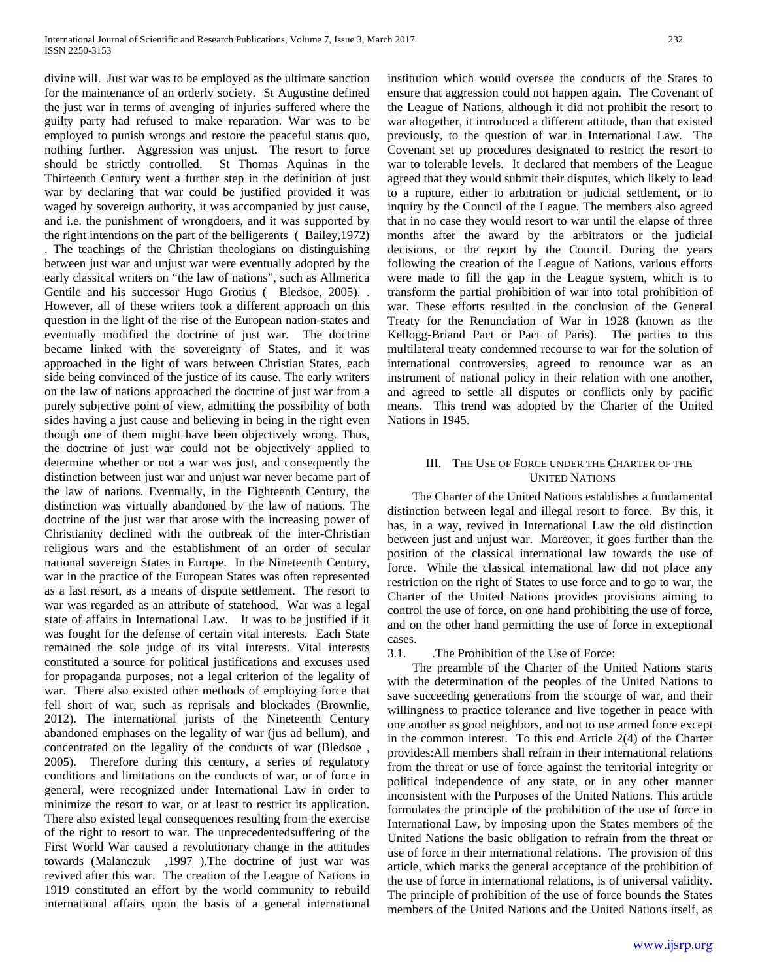divine will. Just war was to be employed as the ultimate sanction for the maintenance of an orderly society. St Augustine defined the just war in terms of avenging of injuries suffered where the guilty party had refused to make reparation. War was to be employed to punish wrongs and restore the peaceful status quo, nothing further. Aggression was unjust. The resort to force should be strictly controlled. St Thomas Aquinas in the Thirteenth Century went a further step in the definition of just war by declaring that war could be justified provided it was waged by sovereign authority, it was accompanied by just cause, and i.e. the punishment of wrongdoers, and it was supported by the right intentions on the part of the belligerents ( Bailey,1972) . The teachings of the Christian theologians on distinguishing between just war and unjust war were eventually adopted by the early classical writers on "the law of nations", such as Allmerica Gentile and his successor Hugo Grotius ( Bledsoe, 2005). . However, all of these writers took a different approach on this question in the light of the rise of the European nation-states and eventually modified the doctrine of just war. The doctrine became linked with the sovereignty of States, and it was approached in the light of wars between Christian States, each side being convinced of the justice of its cause. The early writers on the law of nations approached the doctrine of just war from a purely subjective point of view, admitting the possibility of both sides having a just cause and believing in being in the right even though one of them might have been objectively wrong. Thus, the doctrine of just war could not be objectively applied to determine whether or not a war was just, and consequently the distinction between just war and unjust war never became part of the law of nations. Eventually, in the Eighteenth Century, the distinction was virtually abandoned by the law of nations. The doctrine of the just war that arose with the increasing power of Christianity declined with the outbreak of the inter-Christian religious wars and the establishment of an order of secular national sovereign States in Europe. In the Nineteenth Century, war in the practice of the European States was often represented as a last resort, as a means of dispute settlement. The resort to war was regarded as an attribute of statehood. War was a legal state of affairs in International Law. It was to be justified if it was fought for the defense of certain vital interests. Each State remained the sole judge of its vital interests. Vital interests constituted a source for political justifications and excuses used for propaganda purposes, not a legal criterion of the legality of war. There also existed other methods of employing force that fell short of war, such as reprisals and blockades (Brownlie, 2012). The international jurists of the Nineteenth Century abandoned emphases on the legality of war (jus ad bellum), and concentrated on the legality of the conducts of war (Bledsoe , 2005). Therefore during this century, a series of regulatory conditions and limitations on the conducts of war, or of force in general, were recognized under International Law in order to minimize the resort to war, or at least to restrict its application. There also existed legal consequences resulting from the exercise of the right to resort to war. The unprecedentedsuffering of the First World War caused a revolutionary change in the attitudes towards (Malanczuk ,1997 ).The doctrine of just war was revived after this war. The creation of the League of Nations in 1919 constituted an effort by the world community to rebuild international affairs upon the basis of a general international

institution which would oversee the conducts of the States to ensure that aggression could not happen again. The Covenant of the League of Nations, although it did not prohibit the resort to war altogether, it introduced a different attitude, than that existed previously, to the question of war in International Law. The Covenant set up procedures designated to restrict the resort to war to tolerable levels. It declared that members of the League agreed that they would submit their disputes, which likely to lead to a rupture, either to arbitration or judicial settlement, or to inquiry by the Council of the League. The members also agreed that in no case they would resort to war until the elapse of three months after the award by the arbitrators or the judicial decisions, or the report by the Council. During the years following the creation of the League of Nations, various efforts were made to fill the gap in the League system, which is to transform the partial prohibition of war into total prohibition of war. These efforts resulted in the conclusion of the General Treaty for the Renunciation of War in 1928 (known as the Kellogg-Briand Pact or Pact of Paris). The parties to this multilateral treaty condemned recourse to war for the solution of international controversies, agreed to renounce war as an instrument of national policy in their relation with one another, and agreed to settle all disputes or conflicts only by pacific means. This trend was adopted by the Charter of the United Nations in 1945.

## III. THE USE OF FORCE UNDER THE CHARTER OF THE UNITED NATIONS

 The Charter of the United Nations establishes a fundamental distinction between legal and illegal resort to force. By this, it has, in a way, revived in International Law the old distinction between just and unjust war. Moreover, it goes further than the position of the classical international law towards the use of force. While the classical international law did not place any restriction on the right of States to use force and to go to war, the Charter of the United Nations provides provisions aiming to control the use of force, on one hand prohibiting the use of force, and on the other hand permitting the use of force in exceptional cases.

3.1. .The Prohibition of the Use of Force:

 The preamble of the Charter of the United Nations starts with the determination of the peoples of the United Nations to save succeeding generations from the scourge of war, and their willingness to practice tolerance and live together in peace with one another as good neighbors, and not to use armed force except in the common interest. To this end Article 2(4) of the Charter provides:All members shall refrain in their international relations from the threat or use of force against the territorial integrity or political independence of any state, or in any other manner inconsistent with the Purposes of the United Nations. This article formulates the principle of the prohibition of the use of force in International Law, by imposing upon the States members of the United Nations the basic obligation to refrain from the threat or use of force in their international relations. The provision of this article, which marks the general acceptance of the prohibition of the use of force in international relations, is of universal validity. The principle of prohibition of the use of force bounds the States members of the United Nations and the United Nations itself, as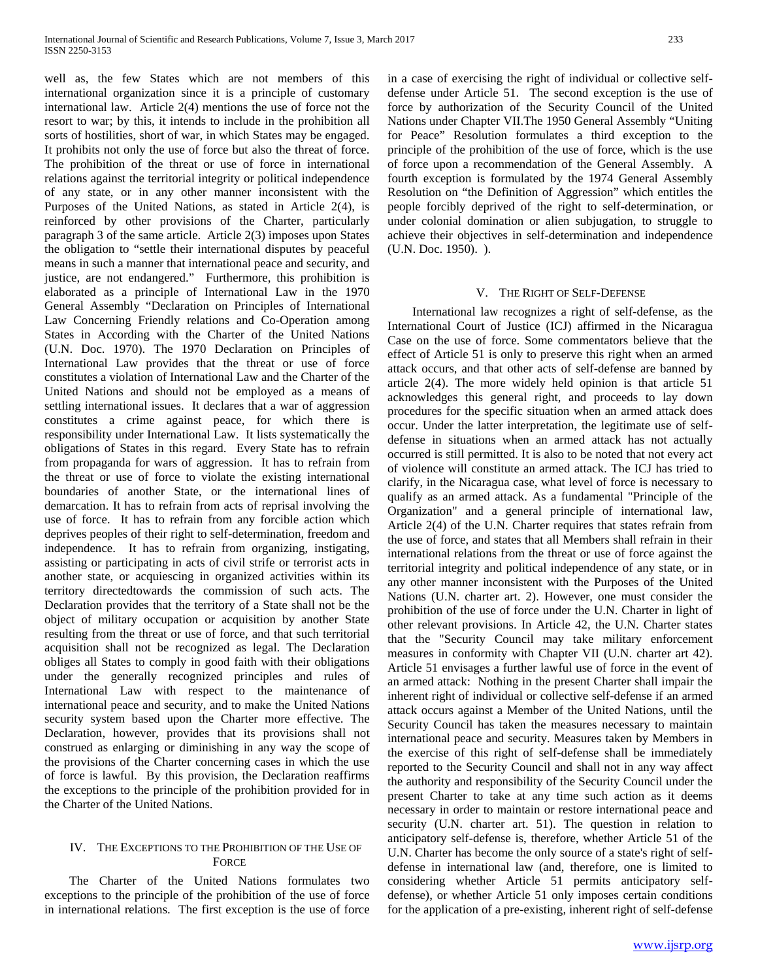well as, the few States which are not members of this international organization since it is a principle of customary international law. Article 2(4) mentions the use of force not the resort to war; by this, it intends to include in the prohibition all sorts of hostilities, short of war, in which States may be engaged. It prohibits not only the use of force but also the threat of force. The prohibition of the threat or use of force in international relations against the territorial integrity or political independence of any state, or in any other manner inconsistent with the Purposes of the United Nations, as stated in Article 2(4), is reinforced by other provisions of the Charter, particularly paragraph 3 of the same article. Article 2(3) imposes upon States the obligation to "settle their international disputes by peaceful means in such a manner that international peace and security, and justice, are not endangered." Furthermore, this prohibition is elaborated as a principle of International Law in the 1970 General Assembly "Declaration on Principles of International Law Concerning Friendly relations and Co-Operation among States in According with the Charter of the United Nations (U.N. Doc. 1970). The 1970 Declaration on Principles of International Law provides that the threat or use of force constitutes a violation of International Law and the Charter of the United Nations and should not be employed as a means of settling international issues. It declares that a war of aggression constitutes a crime against peace, for which there is responsibility under International Law. It lists systematically the obligations of States in this regard. Every State has to refrain from propaganda for wars of aggression. It has to refrain from the threat or use of force to violate the existing international boundaries of another State, or the international lines of demarcation. It has to refrain from acts of reprisal involving the use of force. It has to refrain from any forcible action which deprives peoples of their right to self-determination, freedom and independence. It has to refrain from organizing, instigating, assisting or participating in acts of civil strife or terrorist acts in another state, or acquiescing in organized activities within its territory directedtowards the commission of such acts. The Declaration provides that the territory of a State shall not be the object of military occupation or acquisition by another State resulting from the threat or use of force, and that such territorial acquisition shall not be recognized as legal. The Declaration obliges all States to comply in good faith with their obligations under the generally recognized principles and rules of International Law with respect to the maintenance of international peace and security, and to make the United Nations security system based upon the Charter more effective. The Declaration, however, provides that its provisions shall not construed as enlarging or diminishing in any way the scope of the provisions of the Charter concerning cases in which the use of force is lawful. By this provision, the Declaration reaffirms the exceptions to the principle of the prohibition provided for in the Charter of the United Nations.

# IV. THE EXCEPTIONS TO THE PROHIBITION OF THE USE OF **FORCE**

 The Charter of the United Nations formulates two exceptions to the principle of the prohibition of the use of force in international relations. The first exception is the use of force in a case of exercising the right of individual or collective selfdefense under Article 51. The second exception is the use of force by authorization of the Security Council of the United Nations under Chapter VII.The 1950 General Assembly "Uniting for Peace" Resolution formulates a third exception to the principle of the prohibition of the use of force, which is the use of force upon a recommendation of the General Assembly. A fourth exception is formulated by the 1974 General Assembly Resolution on "the Definition of Aggression" which entitles the people forcibly deprived of the right to self-determination, or under colonial domination or alien subjugation, to struggle to achieve their objectives in self-determination and independence (U.N. Doc. 1950). ).

## V. THE RIGHT OF SELF-DEFENSE

 International law recognizes a right of self-defense, as the International Court of Justice (ICJ) affirmed in the Nicaragua Case on the use of force. Some commentators believe that the effect of Article 51 is only to preserve this right when an armed attack occurs, and that other acts of self-defense are banned by article 2(4). The more widely held opinion is that article 51 acknowledges this general right, and proceeds to lay down procedures for the specific situation when an armed attack does occur. Under the latter interpretation, the legitimate use of selfdefense in situations when an armed attack has not actually occurred is still permitted. It is also to be noted that not every act of violence will constitute an armed attack. The ICJ has tried to clarify, in the Nicaragua case, what level of force is necessary to qualify as an armed attack. As a fundamental "Principle of the Organization" and a general principle of international law, Article 2(4) of the U.N. Charter requires that states refrain from the use of force, and states that all Members shall refrain in their international relations from the threat or use of force against the territorial integrity and political independence of any state, or in any other manner inconsistent with the Purposes of the United Nations (U.N. charter art. 2). However, one must consider the prohibition of the use of force under the U.N. Charter in light of other relevant provisions. In Article 42, the U.N. Charter states that the "Security Council may take military enforcement measures in conformity with Chapter VII (U.N. charter art 42). Article 51 envisages a further lawful use of force in the event of an armed attack: Nothing in the present Charter shall impair the inherent right of individual or collective self-defense if an armed attack occurs against a Member of the United Nations, until the Security Council has taken the measures necessary to maintain international peace and security. Measures taken by Members in the exercise of this right of self-defense shall be immediately reported to the Security Council and shall not in any way affect the authority and responsibility of the Security Council under the present Charter to take at any time such action as it deems necessary in order to maintain or restore international peace and security (U.N. charter art. 51). The question in relation to anticipatory self-defense is, therefore, whether Article 51 of the U.N. Charter has become the only source of a state's right of selfdefense in international law (and, therefore, one is limited to considering whether Article 51 permits anticipatory selfdefense), or whether Article 51 only imposes certain conditions for the application of a pre-existing, inherent right of self-defense